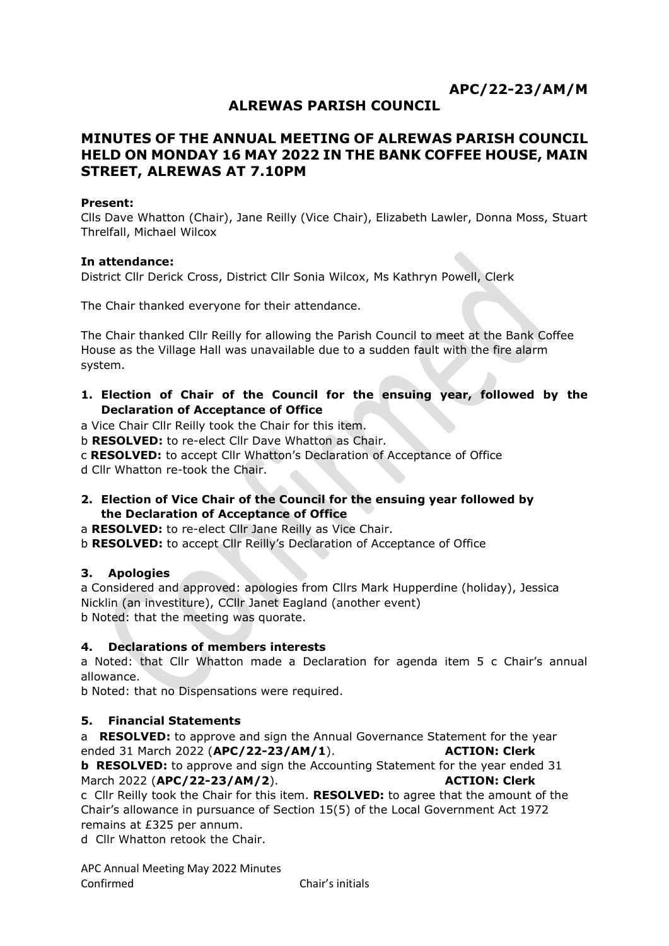# **APC/22-23/AM/M**

# **ALREWAS PARISH COUNCIL**

# **MINUTES OF THE ANNUAL MEETING OF ALREWAS PARISH COUNCIL HELD ON MONDAY 16 MAY 2022 IN THE BANK COFFEE HOUSE, MAIN STREET, ALREWAS AT 7.10PM**

#### **Present:**

Clls Dave Whatton (Chair), Jane Reilly (Vice Chair), Elizabeth Lawler, Donna Moss, Stuart Threlfall, Michael Wilcox

#### **In attendance:**

District Cllr Derick Cross, District Cllr Sonia Wilcox, Ms Kathryn Powell, Clerk

The Chair thanked everyone for their attendance.

The Chair thanked Cllr Reilly for allowing the Parish Council to meet at the Bank Coffee House as the Village Hall was unavailable due to a sudden fault with the fire alarm system.

**1. Election of Chair of the Council for the ensuing year, followed by the Declaration of Acceptance of Office**

a Vice Chair Cllr Reilly took the Chair for this item.

b **RESOLVED:** to re-elect Cllr Dave Whatton as Chair.

c **RESOLVED:** to accept Cllr Whatton's Declaration of Acceptance of Office

d Cllr Whatton re-took the Chair.

#### **2. Election of Vice Chair of the Council for the ensuing year followed by the Declaration of Acceptance of Office**

a **RESOLVED:** to re-elect Cllr Jane Reilly as Vice Chair.

b **RESOLVED:** to accept Cllr Reilly's Declaration of Acceptance of Office

# **3. Apologies**

a Considered and approved: apologies from Cllrs Mark Hupperdine (holiday), Jessica Nicklin (an investiture), CCllr Janet Eagland (another event) b Noted: that the meeting was quorate.

# **4. Declarations of members interests**

a Noted: that Cllr Whatton made a Declaration for agenda item 5 c Chair's annual allowance.

b Noted: that no Dispensations were required.

# **5. Financial Statements**

a **RESOLVED:** to approve and sign the Annual Governance Statement for the year ended 31 March 2022 (**APC/22-23/AM/1**). **ACTION: Clerk**

**b RESOLVED:** to approve and sign the Accounting Statement for the year ended 31 March 2022 (**APC/22-23/AM/2**). **ACTION: Clerk**

c Cllr Reilly took the Chair for this item. **RESOLVED:** to agree that the amount of the Chair's allowance in pursuance of Section 15(5) of the Local Government Act 1972 remains at £325 per annum.

d Cllr Whatton retook the Chair.

APC Annual Meeting May 2022 Minutes Confirmed Chair's initials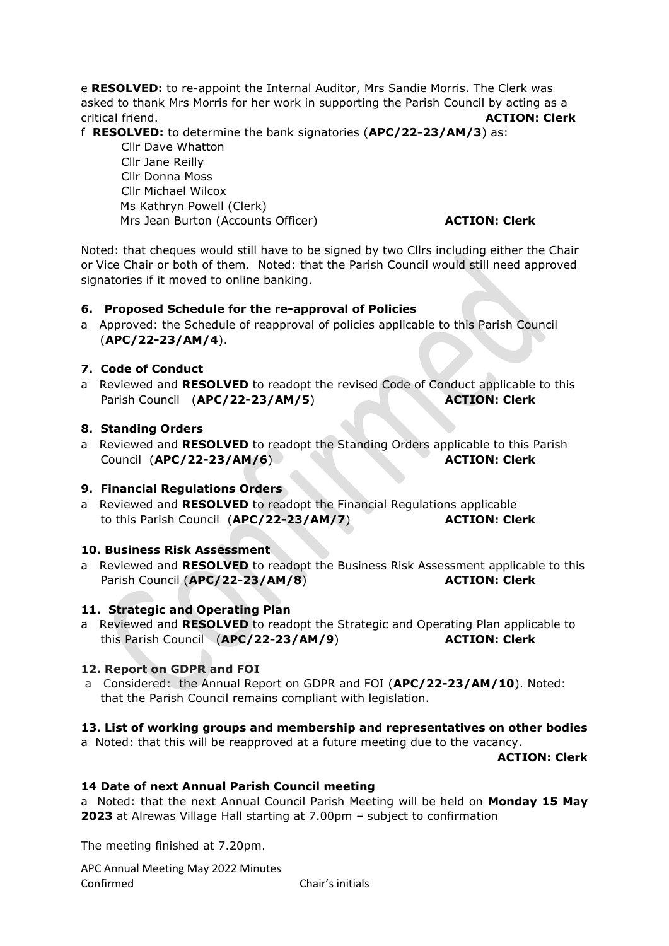e **RESOLVED:** to re-appoint the Internal Auditor, Mrs Sandie Morris. The Clerk was asked to thank Mrs Morris for her work in supporting the Parish Council by acting as a critical friend. **ACTION: Clerk**

f **RESOLVED:** to determine the bank signatories (**APC/22-23/AM/3**) as:

Cllr Dave Whatton Cllr Jane Reilly Cllr Donna Moss Cllr Michael Wilcox Ms Kathryn Powell (Clerk) Mrs Jean Burton (Accounts Officer) **ACTION: Clerk** 

Noted: that cheques would still have to be signed by two Cllrs including either the Chair or Vice Chair or both of them. Noted: that the Parish Council would still need approved signatories if it moved to online banking.

# **6. Proposed Schedule for the re-approval of Policies**

a Approved: the Schedule of reapproval of policies applicable to this Parish Council (**APC/22-23/AM/4**).

# **7. Code of Conduct**

a Reviewed and **RESOLVED** to readopt the revised Code of Conduct applicable to this Parish Council (APC/22-23/AM/5) **ACTION: Clerk** 

# **8. Standing Orders**

a Reviewed and **RESOLVED** to readopt the Standing Orders applicable to this Parish Council (**APC/22-23/AM/6**) **ACTION: Clerk**

# **9. Financial Regulations Orders**

a Reviewed and **RESOLVED** to readopt the Financial Regulations applicable to this Parish Council (**APC/22-23/AM/7**) **ACTION: Clerk**

# **10. Business Risk Assessment**

a Reviewed and **RESOLVED** to readopt the Business Risk Assessment applicable to this Parish Council (APC/22-23/AM/8) **ACTION: Clerk** 

# **11. Strategic and Operating Plan**

a Reviewed and **RESOLVED** to readopt the Strategic and Operating Plan applicable to this Parish Council (**APC/22-23/AM/9**) **ACTION: Clerk**

# **12. Report on GDPR and FOI**

a Considered: the Annual Report on GDPR and FOI (**APC/22-23/AM/10**). Noted: that the Parish Council remains compliant with legislation.

# **13. List of working groups and membership and representatives on other bodies**

a Noted: that this will be reapproved at a future meeting due to the vacancy.

**ACTION: Clerk**

# **14 Date of next Annual Parish Council meeting**

a Noted: that the next Annual Council Parish Meeting will be held on **Monday 15 May 2023** at Alrewas Village Hall starting at 7.00pm – subject to confirmation

The meeting finished at 7.20pm.

APC Annual Meeting May 2022 Minutes Confirmed Chair's initials